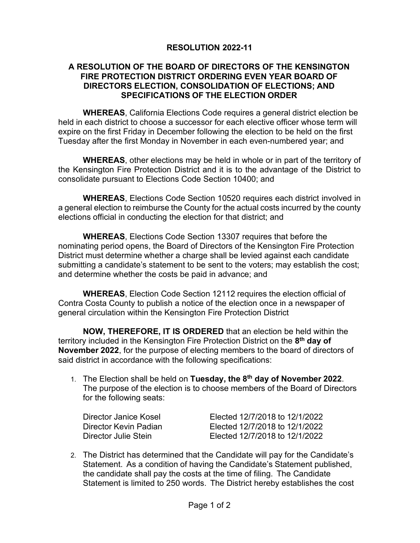## **RESOLUTION 2022-11**

## **A RESOLUTION OF THE BOARD OF DIRECTORS OF THE KENSINGTON FIRE PROTECTION DISTRICT ORDERING EVEN YEAR BOARD OF DIRECTORS ELECTION, CONSOLIDATION OF ELECTIONS; AND SPECIFICATIONS OF THE ELECTION ORDER**

**WHEREAS**, California Elections Code requires a general district election be held in each district to choose a successor for each elective officer whose term will expire on the first Friday in December following the election to be held on the first Tuesday after the first Monday in November in each even-numbered year; and

**WHEREAS**, other elections may be held in whole or in part of the territory of the Kensington Fire Protection District and it is to the advantage of the District to consolidate pursuant to Elections Code Section 10400; and

**WHEREAS**, Elections Code Section 10520 requires each district involved in a general election to reimburse the County for the actual costs incurred by the county elections official in conducting the election for that district; and

**WHEREAS**, Elections Code Section 13307 requires that before the nominating period opens, the Board of Directors of the Kensington Fire Protection District must determine whether a charge shall be levied against each candidate submitting a candidate's statement to be sent to the voters; may establish the cost; and determine whether the costs be paid in advance; and

**WHEREAS**, Election Code Section 12112 requires the election official of Contra Costa County to publish a notice of the election once in a newspaper of general circulation within the Kensington Fire Protection District

**NOW, THEREFORE, IT IS ORDERED** that an election be held within the territory included in the Kensington Fire Protection District on the **8th day of November 2022**, for the purpose of electing members to the board of directors of said district in accordance with the following specifications:

1. The Election shall be held on **Tuesday, the 8th day of November 2022**. The purpose of the election is to choose members of the Board of Directors for the following seats:

| Director Janice Kosel | Elected 12/7/2018 to 12/1/2022 |
|-----------------------|--------------------------------|
| Director Kevin Padian | Elected 12/7/2018 to 12/1/2022 |
| Director Julie Stein  | Elected 12/7/2018 to 12/1/2022 |

2. The District has determined that the Candidate will pay for the Candidate's Statement. As a condition of having the Candidate's Statement published, the candidate shall pay the costs at the time of filing. The Candidate Statement is limited to 250 words. The District hereby establishes the cost